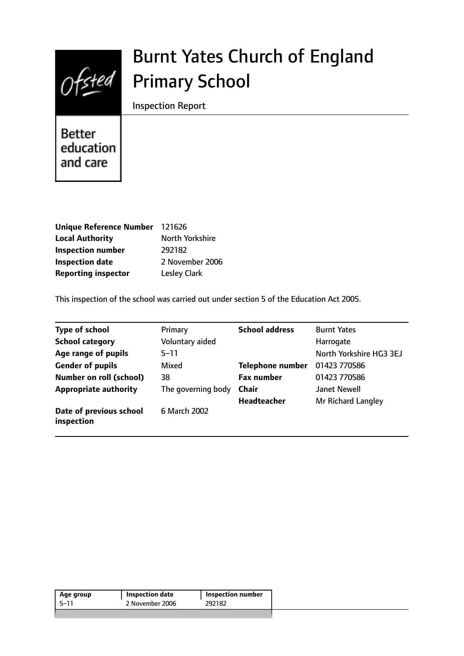

# Burnt Yates Church of England Primary School

Inspection Report

**Better** education and care

| Unique Reference Number 121626 |                     |
|--------------------------------|---------------------|
| <b>Local Authority</b>         | North Yorkshire     |
| <b>Inspection number</b>       | 292182              |
| <b>Inspection date</b>         | 2 November 2006     |
| <b>Reporting inspector</b>     | <b>Lesley Clark</b> |

This inspection of the school was carried out under section 5 of the Education Act 2005.

| <b>Type of school</b>                 | Primary            | <b>School address</b>   | <b>Burnt Yates</b>      |
|---------------------------------------|--------------------|-------------------------|-------------------------|
| <b>School category</b>                | Voluntary aided    |                         | Harrogate               |
| Age range of pupils                   | $5 - 11$           |                         | North Yorkshire HG3 3EJ |
| <b>Gender of pupils</b>               | Mixed              | <b>Telephone number</b> | 01423 770586            |
| <b>Number on roll (school)</b>        | 38                 | <b>Fax number</b>       | 01423 770586            |
| <b>Appropriate authority</b>          | The governing body | <b>Chair</b>            | <b>Janet Newell</b>     |
|                                       |                    | <b>Headteacher</b>      | Mr Richard Langley      |
| Date of previous school<br>inspection | 6 March 2002       |                         |                         |

| Age group | Inspection date | Inspection number |
|-----------|-----------------|-------------------|
| -5–11     | 2 November 2006 | 292182            |
|           |                 |                   |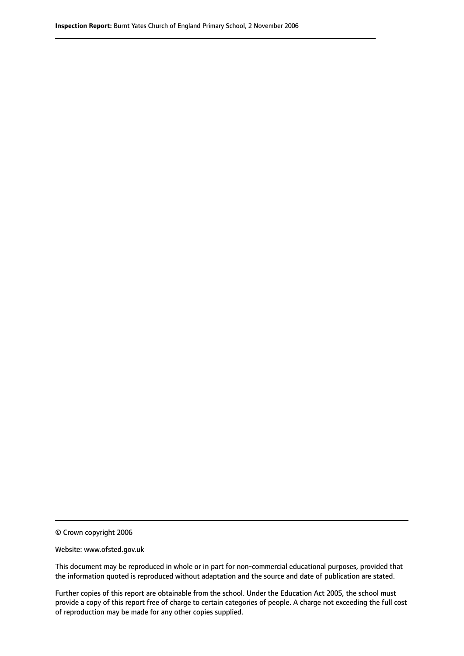© Crown copyright 2006

Website: www.ofsted.gov.uk

This document may be reproduced in whole or in part for non-commercial educational purposes, provided that the information quoted is reproduced without adaptation and the source and date of publication are stated.

Further copies of this report are obtainable from the school. Under the Education Act 2005, the school must provide a copy of this report free of charge to certain categories of people. A charge not exceeding the full cost of reproduction may be made for any other copies supplied.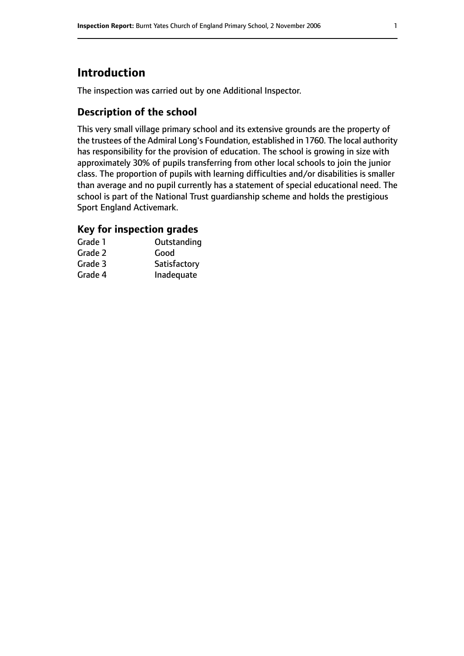# **Introduction**

The inspection was carried out by one Additional Inspector.

## **Description of the school**

This very small village primary school and its extensive grounds are the property of the trustees of the Admiral Long's Foundation, established in 1760. The local authority has responsibility for the provision of education. The school is growing in size with approximately 30% of pupils transferring from other local schools to join the junior class. The proportion of pupils with learning difficulties and/or disabilities is smaller than average and no pupil currently has a statement of special educational need. The school is part of the National Trust guardianship scheme and holds the prestigious Sport England Activemark.

## **Key for inspection grades**

| Grade 1 | Outstanding  |
|---------|--------------|
| Grade 2 | Good         |
| Grade 3 | Satisfactory |
| Grade 4 | Inadequate   |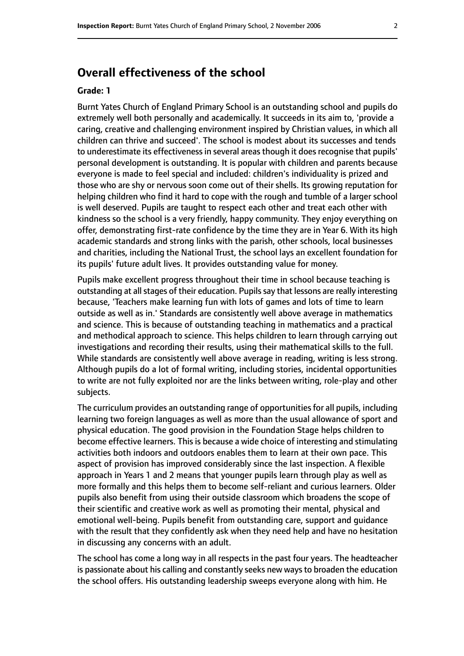# **Overall effectiveness of the school**

#### **Grade: 1**

Burnt Yates Church of England Primary School is an outstanding school and pupils do extremely well both personally and academically. It succeeds in its aim to, 'provide a caring, creative and challenging environment inspired by Christian values, in which all children can thrive and succeed'. The school is modest about its successes and tends to underestimate its effectiveness in several areas though it does recognise that pupils' personal development is outstanding. It is popular with children and parents because everyone is made to feel special and included: children's individuality is prized and those who are shy or nervous soon come out of their shells. Its growing reputation for helping children who find it hard to cope with the rough and tumble of a larger school is well deserved. Pupils are taught to respect each other and treat each other with kindness so the school is a very friendly, happy community. They enjoy everything on offer, demonstrating first-rate confidence by the time they are in Year 6. With its high academic standards and strong links with the parish, other schools, local businesses and charities, including the National Trust, the school lays an excellent foundation for its pupils' future adult lives. It provides outstanding value for money.

Pupils make excellent progress throughout their time in school because teaching is outstanding at all stages of their education. Pupils say that lessons are really interesting because, 'Teachers make learning fun with lots of games and lots of time to learn outside as well as in.' Standards are consistently well above average in mathematics and science. This is because of outstanding teaching in mathematics and a practical and methodical approach to science. This helps children to learn through carrying out investigations and recording their results, using their mathematical skills to the full. While standards are consistently well above average in reading, writing is less strong. Although pupils do a lot of formal writing, including stories, incidental opportunities to write are not fully exploited nor are the links between writing, role-play and other subjects.

The curriculum provides an outstanding range of opportunities for all pupils, including learning two foreign languages as well as more than the usual allowance of sport and physical education. The good provision in the Foundation Stage helps children to become effective learners. This is because a wide choice of interesting and stimulating activities both indoors and outdoors enables them to learn at their own pace. This aspect of provision has improved considerably since the last inspection. A flexible approach in Years 1 and 2 means that younger pupils learn through play as well as more formally and this helps them to become self-reliant and curious learners. Older pupils also benefit from using their outside classroom which broadens the scope of their scientific and creative work as well as promoting their mental, physical and emotional well-being. Pupils benefit from outstanding care, support and guidance with the result that they confidently ask when they need help and have no hesitation in discussing any concerns with an adult.

The school has come a long way in all respects in the past four years. The headteacher is passionate about his calling and constantly seeks new ways to broaden the education the school offers. His outstanding leadership sweeps everyone along with him. He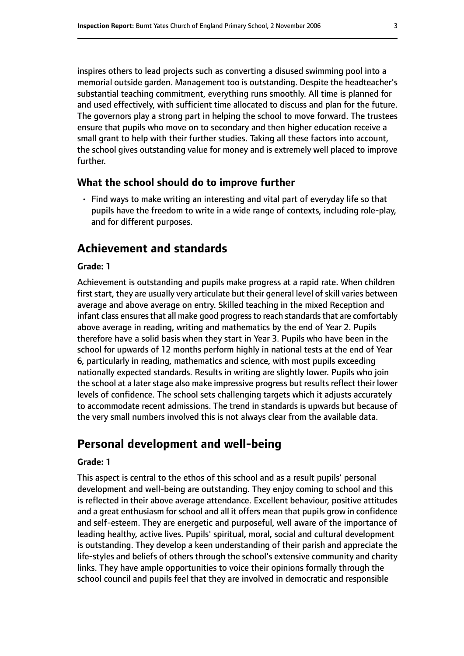inspires others to lead projects such as converting a disused swimming pool into a memorial outside garden. Management too is outstanding. Despite the headteacher's substantial teaching commitment, everything runs smoothly. All time is planned for and used effectively, with sufficient time allocated to discuss and plan for the future. The governors play a strong part in helping the school to move forward. The trustees ensure that pupils who move on to secondary and then higher education receive a small grant to help with their further studies. Taking all these factors into account, the school gives outstanding value for money and is extremely well placed to improve further.

#### **What the school should do to improve further**

• Find ways to make writing an interesting and vital part of everyday life so that pupils have the freedom to write in a wide range of contexts, including role-play, and for different purposes.

## **Achievement and standards**

#### **Grade: 1**

Achievement is outstanding and pupils make progress at a rapid rate. When children first start, they are usually very articulate but their general level of skill varies between average and above average on entry. Skilled teaching in the mixed Reception and infant class ensures that all make good progress to reach standards that are comfortably above average in reading, writing and mathematics by the end of Year 2. Pupils therefore have a solid basis when they start in Year 3. Pupils who have been in the school for upwards of 12 months perform highly in national tests at the end of Year 6, particularly in reading, mathematics and science, with most pupils exceeding nationally expected standards. Results in writing are slightly lower. Pupils who join the school at a later stage also make impressive progress but results reflect their lower levels of confidence. The school sets challenging targets which it adjusts accurately to accommodate recent admissions. The trend in standards is upwards but because of the very small numbers involved this is not always clear from the available data.

# **Personal development and well-being**

#### **Grade: 1**

This aspect is central to the ethos of this school and as a result pupils' personal development and well-being are outstanding. They enjoy coming to school and this is reflected in their above average attendance. Excellent behaviour, positive attitudes and a great enthusiasm for school and all it offers mean that pupils grow in confidence and self-esteem. They are energetic and purposeful, well aware of the importance of leading healthy, active lives. Pupils' spiritual, moral, social and cultural development is outstanding. They develop a keen understanding of their parish and appreciate the life-styles and beliefs of others through the school's extensive community and charity links. They have ample opportunities to voice their opinions formally through the school council and pupils feel that they are involved in democratic and responsible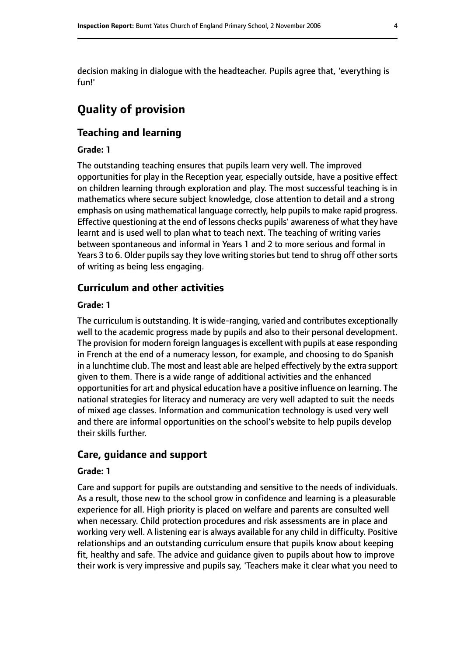decision making in dialogue with the headteacher. Pupils agree that, 'everything is fun!'

# **Quality of provision**

## **Teaching and learning**

## **Grade: 1**

The outstanding teaching ensures that pupils learn very well. The improved opportunities for play in the Reception year, especially outside, have a positive effect on children learning through exploration and play. The most successful teaching is in mathematics where secure subject knowledge, close attention to detail and a strong emphasis on using mathematical language correctly, help pupils to make rapid progress. Effective questioning at the end of lessons checks pupils' awareness of what they have learnt and is used well to plan what to teach next. The teaching of writing varies between spontaneous and informal in Years 1 and 2 to more serious and formal in Years 3 to 6. Older pupils say they love writing stories but tend to shrug off other sorts of writing as being less engaging.

## **Curriculum and other activities**

#### **Grade: 1**

The curriculum is outstanding. It is wide-ranging, varied and contributes exceptionally well to the academic progress made by pupils and also to their personal development. The provision for modern foreign languages is excellent with pupils at ease responding in French at the end of a numeracy lesson, for example, and choosing to do Spanish in a lunchtime club. The most and least able are helped effectively by the extra support given to them. There is a wide range of additional activities and the enhanced opportunities for art and physical education have a positive influence on learning. The national strategies for literacy and numeracy are very well adapted to suit the needs of mixed age classes. Information and communication technology is used very well and there are informal opportunities on the school's website to help pupils develop their skills further.

#### **Care, guidance and support**

#### **Grade: 1**

Care and support for pupils are outstanding and sensitive to the needs of individuals. As a result, those new to the school grow in confidence and learning is a pleasurable experience for all. High priority is placed on welfare and parents are consulted well when necessary. Child protection procedures and risk assessments are in place and working very well. A listening ear is always available for any child in difficulty. Positive relationships and an outstanding curriculum ensure that pupils know about keeping fit, healthy and safe. The advice and guidance given to pupils about how to improve their work is very impressive and pupils say, 'Teachers make it clear what you need to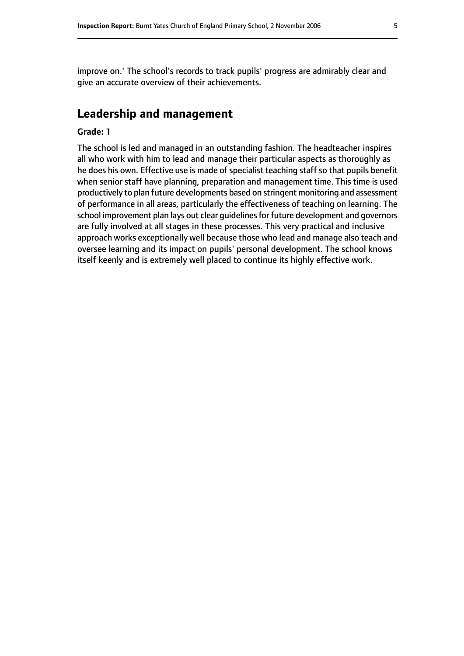improve on.' The school's records to track pupils' progress are admirably clear and give an accurate overview of their achievements.

## **Leadership and management**

#### **Grade: 1**

The school is led and managed in an outstanding fashion. The headteacher inspires all who work with him to lead and manage their particular aspects as thoroughly as he does his own. Effective use is made of specialist teaching staff so that pupils benefit when senior staff have planning, preparation and management time. This time is used productively to plan future developments based on stringent monitoring and assessment of performance in all areas, particularly the effectiveness of teaching on learning. The school improvement plan lays out clear guidelines for future development and governors are fully involved at all stages in these processes. This very practical and inclusive approach works exceptionally well because those who lead and manage also teach and oversee learning and its impact on pupils' personal development. The school knows itself keenly and is extremely well placed to continue its highly effective work.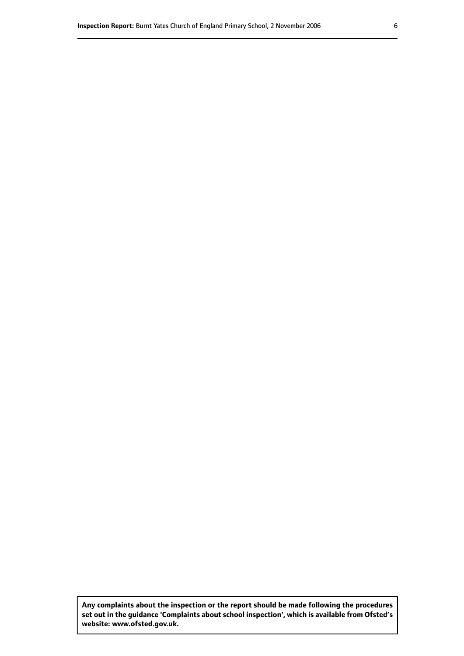**Any complaints about the inspection or the report should be made following the procedures set out inthe guidance 'Complaints about school inspection', whichis available from Ofsted's website: www.ofsted.gov.uk.**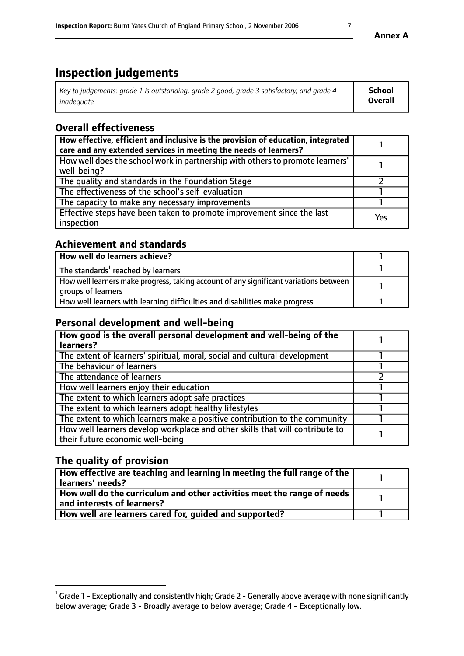# **Inspection judgements**

| Key to judgements: grade 1 is outstanding, grade 2 good, grade 3 satisfactory, and grade 4 | School         |
|--------------------------------------------------------------------------------------------|----------------|
| inadeauate                                                                                 | <b>Overall</b> |

## **Overall effectiveness**

| How effective, efficient and inclusive is the provision of education, integrated<br>care and any extended services in meeting the needs of learners? |     |
|------------------------------------------------------------------------------------------------------------------------------------------------------|-----|
| How well does the school work in partnership with others to promote learners'<br>well-being?                                                         |     |
| The quality and standards in the Foundation Stage                                                                                                    |     |
| The effectiveness of the school's self-evaluation                                                                                                    |     |
| The capacity to make any necessary improvements                                                                                                      |     |
| Effective steps have been taken to promote improvement since the last<br>inspection                                                                  | Yes |

## **Achievement and standards**

| How well do learners achieve?                                                                               |  |
|-------------------------------------------------------------------------------------------------------------|--|
| The standards <sup>1</sup> reached by learners                                                              |  |
| How well learners make progress, taking account of any significant variations between<br>groups of learners |  |
| How well learners with learning difficulties and disabilities make progress                                 |  |

## **Personal development and well-being**

| How good is the overall personal development and well-being of the<br>learners?                                  |  |
|------------------------------------------------------------------------------------------------------------------|--|
| The extent of learners' spiritual, moral, social and cultural development                                        |  |
| The behaviour of learners                                                                                        |  |
| The attendance of learners                                                                                       |  |
| How well learners enjoy their education                                                                          |  |
| The extent to which learners adopt safe practices                                                                |  |
| The extent to which learners adopt healthy lifestyles                                                            |  |
| The extent to which learners make a positive contribution to the community                                       |  |
| How well learners develop workplace and other skills that will contribute to<br>their future economic well-being |  |

## **The quality of provision**

| How effective are teaching and learning in meeting the full range of the<br>  learners' needs?                      |  |
|---------------------------------------------------------------------------------------------------------------------|--|
| $\mid$ How well do the curriculum and other activities meet the range of needs<br>$\mid$ and interests of learners? |  |
| How well are learners cared for, guided and supported?                                                              |  |

 $^1$  Grade 1 - Exceptionally and consistently high; Grade 2 - Generally above average with none significantly below average; Grade 3 - Broadly average to below average; Grade 4 - Exceptionally low.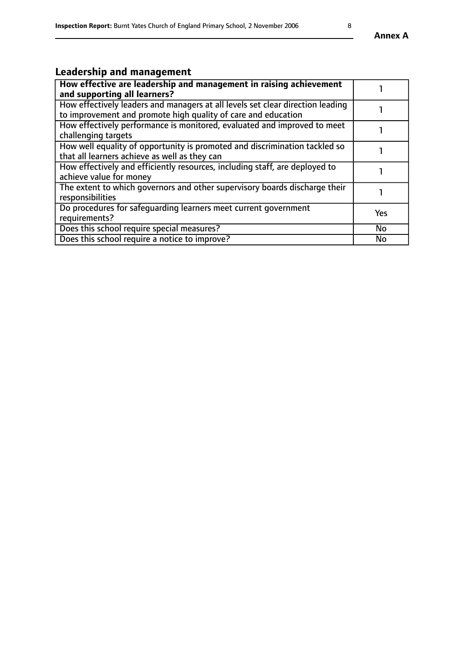# **Leadership and management**

| How effective are leadership and management in raising achievement<br>and supporting all learners?                                              |            |
|-------------------------------------------------------------------------------------------------------------------------------------------------|------------|
| How effectively leaders and managers at all levels set clear direction leading<br>to improvement and promote high quality of care and education |            |
| How effectively performance is monitored, evaluated and improved to meet<br>challenging targets                                                 |            |
| How well equality of opportunity is promoted and discrimination tackled so<br>that all learners achieve as well as they can                     |            |
| How effectively and efficiently resources, including staff, are deployed to<br>achieve value for money                                          |            |
| The extent to which governors and other supervisory boards discharge their<br>responsibilities                                                  |            |
| Do procedures for safeguarding learners meet current government<br>requirements?                                                                | <b>Yes</b> |
| Does this school require special measures?                                                                                                      | <b>No</b>  |
| Does this school require a notice to improve?                                                                                                   | <b>No</b>  |